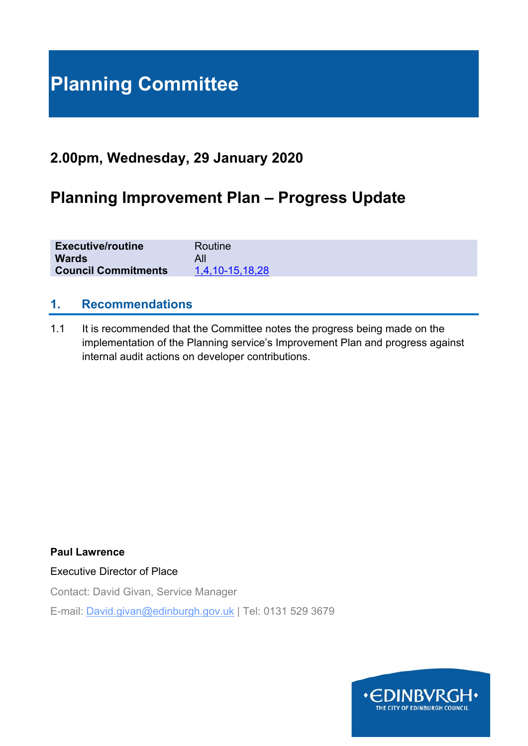# **Planning Committee**

# **2.00pm, Wednesday, 29 January 2020**

# **Planning Improvement Plan – Progress Update**

| <b>Executive/routine</b>   | Routine         |
|----------------------------|-----------------|
| <b>Wards</b>               |                 |
| <b>Council Commitments</b> | 1,4,10-15,18,28 |

#### **1. Recommendations**

1.1 It is recommended that the Committee notes the progress being made on the implementation of the Planning service's Improvement Plan and progress against internal audit actions on developer contributions.

**Paul Lawrence** 

Executive Director of Place

Contact: David Givan, Service Manager

E-mail: David.givan@edinburgh.gov.uk | Tel: 0131 529 3679

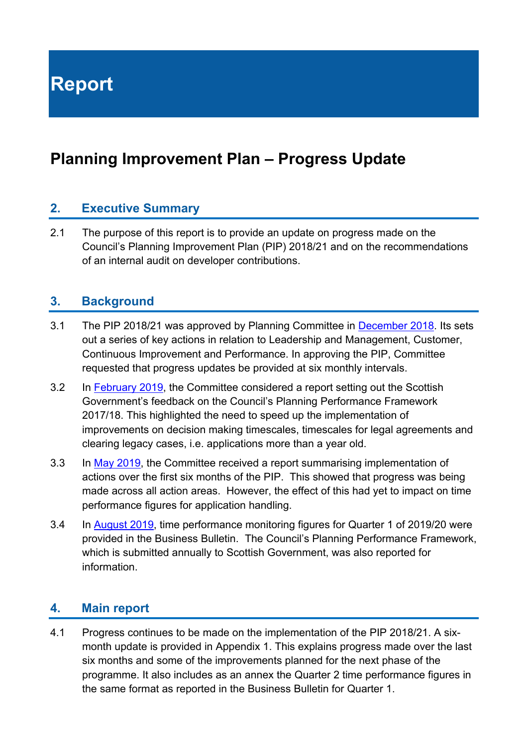**Report** 

# **Planning Improvement Plan – Progress Update**

#### **2. Executive Summary**

2.1 The purpose of this report is to provide an update on progress made on the Council's Planning Improvement Plan (PIP) 2018/21 and on the recommendations of an internal audit on developer contributions.

#### **3. Background**

- 3.1 The PIP 2018/21 was approved by Planning Committee in December 2018. Its sets out a series of key actions in relation to Leadership and Management, Customer, Continuous Improvement and Performance. In approving the PIP, Committee requested that progress updates be provided at six monthly intervals.
- 3.2 In February 2019, the Committee considered a report setting out the Scottish Government's feedback on the Council's Planning Performance Framework 2017/18. This highlighted the need to speed up the implementation of improvements on decision making timescales, timescales for legal agreements and clearing legacy cases, i.e. applications more than a year old.
- 3.3 In May 2019, the Committee received a report summarising implementation of actions over the first six months of the PIP. This showed that progress was being made across all action areas. However, the effect of this had yet to impact on time performance figures for application handling.
- 3.4 In August 2019, time performance monitoring figures for Quarter 1 of 2019/20 were provided in the Business Bulletin. The Council's Planning Performance Framework, which is submitted annually to Scottish Government, was also reported for information.

#### **4. Main report**

4.1 Progress continues to be made on the implementation of the PIP 2018/21. A sixmonth update is provided in Appendix 1. This explains progress made over the last six months and some of the improvements planned for the next phase of the programme. It also includes as an annex the Quarter 2 time performance figures in the same format as reported in the Business Bulletin for Quarter 1.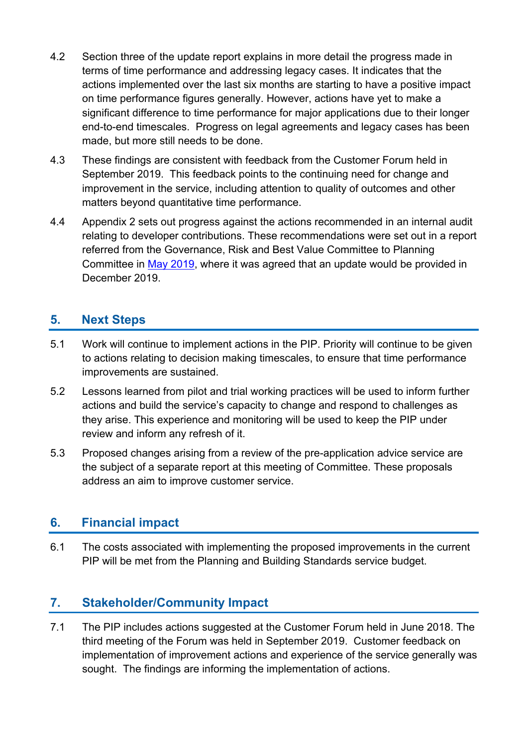- 4.2 Section three of the update report explains in more detail the progress made in terms of time performance and addressing legacy cases. It indicates that the actions implemented over the last six months are starting to have a positive impact on time performance figures generally. However, actions have yet to make a significant difference to time performance for major applications due to their longer end-to-end timescales. Progress on legal agreements and legacy cases has been made, but more still needs to be done.
- 4.3 These findings are consistent with feedback from the Customer Forum held in September 2019. This feedback points to the continuing need for change and improvement in the service, including attention to quality of outcomes and other matters beyond quantitative time performance.
- 4.4 Appendix 2 sets out progress against the actions recommended in an internal audit relating to developer contributions. These recommendations were set out in a report referred from the Governance, Risk and Best Value Committee to Planning Committee in May 2019, where it was agreed that an update would be provided in December 2019.

# **5. Next Steps**

- 5.1 Work will continue to implement actions in the PIP. Priority will continue to be given to actions relating to decision making timescales, to ensure that time performance improvements are sustained.
- 5.2 Lessons learned from pilot and trial working practices will be used to inform further actions and build the service's capacity to change and respond to challenges as they arise. This experience and monitoring will be used to keep the PIP under review and inform any refresh of it.
- 5.3 Proposed changes arising from a review of the pre-application advice service are the subject of a separate report at this meeting of Committee. These proposals address an aim to improve customer service.

# **6. Financial impact**

6.1 The costs associated with implementing the proposed improvements in the current PIP will be met from the Planning and Building Standards service budget.

# **7. Stakeholder/Community Impact**

7.1 The PIP includes actions suggested at the Customer Forum held in June 2018. The third meeting of the Forum was held in September 2019. Customer feedback on implementation of improvement actions and experience of the service generally was sought. The findings are informing the implementation of actions.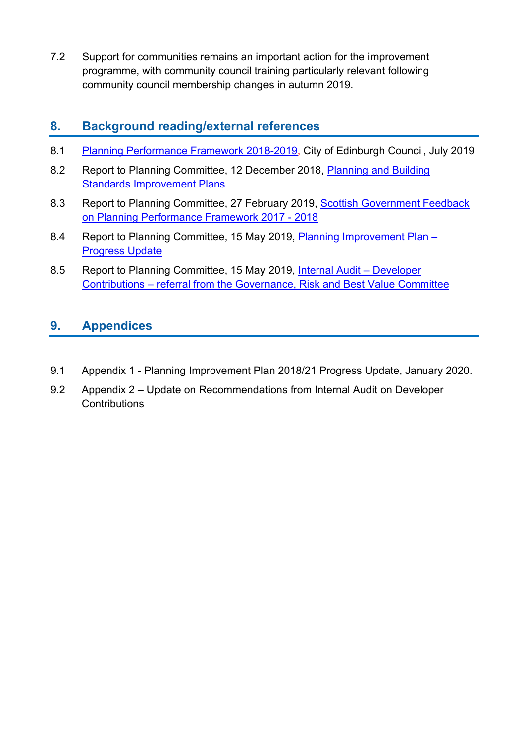7.2 Support for communities remains an important action for the improvement programme, with community council training particularly relevant following community council membership changes in autumn 2019.

## **8. Background reading/external references**

- 8.1 Planning Performance Framework 2018-2019, City of Edinburgh Council, July 2019
- 8.2 Report to Planning Committee, 12 December 2018, Planning and Building Standards Improvement Plans
- 8.3 Report to Planning Committee, 27 February 2019, Scottish Government Feedback on Planning Performance Framework 2017 - 2018
- 8.4 Report to Planning Committee, 15 May 2019, Planning Improvement Plan Progress Update
- 8.5 Report to Planning Committee, 15 May 2019, Internal Audit Developer Contributions – referral from the Governance, Risk and Best Value Committee

# **9. Appendices**

- 9.1 Appendix 1 Planning Improvement Plan 2018/21 Progress Update, January 2020.
- 9.2 Appendix 2 Update on Recommendations from Internal Audit on Developer **Contributions**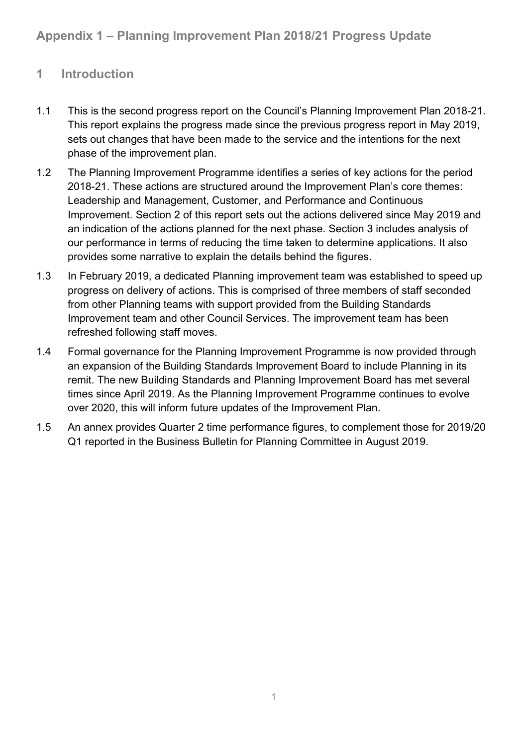# **1 Introduction**

- 1.1 This is the second progress report on the Council's Planning Improvement Plan 2018-21. This report explains the progress made since the previous progress report in May 2019, sets out changes that have been made to the service and the intentions for the next phase of the improvement plan.
- 1.2 The Planning Improvement Programme identifies a series of key actions for the period 2018-21. These actions are structured around the Improvement Plan's core themes: Leadership and Management, Customer, and Performance and Continuous Improvement. Section 2 of this report sets out the actions delivered since May 2019 and an indication of the actions planned for the next phase. Section 3 includes analysis of our performance in terms of reducing the time taken to determine applications. It also provides some narrative to explain the details behind the figures.
- 1.3 In February 2019, a dedicated Planning improvement team was established to speed up progress on delivery of actions. This is comprised of three members of staff seconded from other Planning teams with support provided from the Building Standards Improvement team and other Council Services. The improvement team has been refreshed following staff moves.
- 1.4 Formal governance for the Planning Improvement Programme is now provided through an expansion of the Building Standards Improvement Board to include Planning in its remit. The new Building Standards and Planning Improvement Board has met several times since April 2019. As the Planning Improvement Programme continues to evolve over 2020, this will inform future updates of the Improvement Plan.
- 1.5 An annex provides Quarter 2 time performance figures, to complement those for 2019/20 Q1 reported in the Business Bulletin for Planning Committee in August 2019.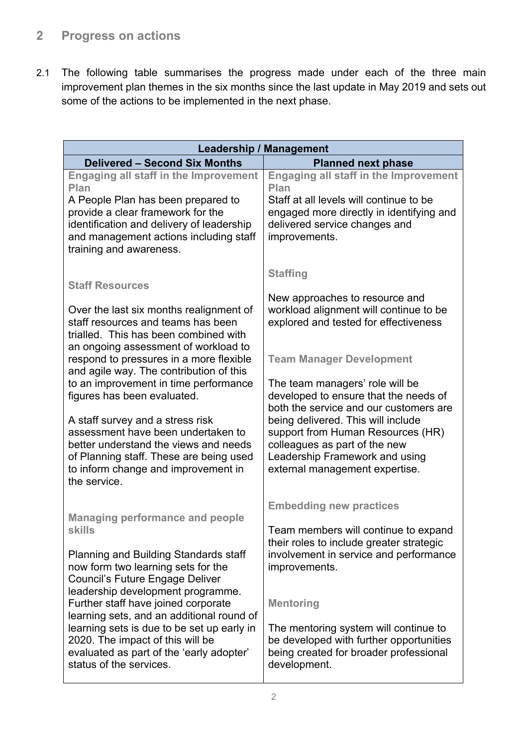# **2 Progress on actions**

2.1 The following table summarises the progress made under each of the three main improvement plan themes in the six months since the last update in May 2019 and sets out some of the actions to be implemented in the next phase.

| <b>Leadership / Management</b>                                                                                                                                                                                                                                                                                                                                                                                                                                            |                                                                                                                                                                                                                                                                                                                                                                                                           |  |  |
|---------------------------------------------------------------------------------------------------------------------------------------------------------------------------------------------------------------------------------------------------------------------------------------------------------------------------------------------------------------------------------------------------------------------------------------------------------------------------|-----------------------------------------------------------------------------------------------------------------------------------------------------------------------------------------------------------------------------------------------------------------------------------------------------------------------------------------------------------------------------------------------------------|--|--|
| <b>Delivered - Second Six Months</b>                                                                                                                                                                                                                                                                                                                                                                                                                                      | <b>Planned next phase</b>                                                                                                                                                                                                                                                                                                                                                                                 |  |  |
| <b>Engaging all staff in the Improvement</b><br>Plan<br>A People Plan has been prepared to<br>provide a clear framework for the<br>identification and delivery of leadership<br>and management actions including staff<br>training and awareness.                                                                                                                                                                                                                         | <b>Engaging all staff in the Improvement</b><br>Plan<br>Staff at all levels will continue to be<br>engaged more directly in identifying and<br>delivered service changes and<br>improvements.                                                                                                                                                                                                             |  |  |
| <b>Staff Resources</b><br>Over the last six months realignment of<br>staff resources and teams has been<br>trialled. This has been combined with<br>an ongoing assessment of workload to<br>respond to pressures in a more flexible<br>and agile way. The contribution of this<br>to an improvement in time performance<br>figures has been evaluated.<br>A staff survey and a stress risk<br>assessment have been undertaken to<br>better understand the views and needs | <b>Staffing</b><br>New approaches to resource and<br>workload alignment will continue to be<br>explored and tested for effectiveness<br><b>Team Manager Development</b><br>The team managers' role will be<br>developed to ensure that the needs of<br>both the service and our customers are<br>being delivered. This will include<br>support from Human Resources (HR)<br>colleagues as part of the new |  |  |
| of Planning staff. These are being used<br>to inform change and improvement in<br>the service.<br><b>Managing performance and people</b><br><b>skills</b>                                                                                                                                                                                                                                                                                                                 | Leadership Framework and using<br>external management expertise.<br><b>Embedding new practices</b><br>Team members will continue to expand                                                                                                                                                                                                                                                                |  |  |
| <b>Planning and Building Standards staff</b><br>now form two learning sets for the<br>Council's Future Engage Deliver<br>leadership development programme.<br>Further staff have joined corporate<br>learning sets, and an additional round of<br>learning sets is due to be set up early in<br>2020. The impact of this will be<br>evaluated as part of the 'early adopter'<br>status of the services.                                                                   | their roles to include greater strategic<br>involvement in service and performance<br>improvements.<br><b>Mentoring</b><br>The mentoring system will continue to<br>be developed with further opportunities<br>being created for broader professional<br>development.                                                                                                                                     |  |  |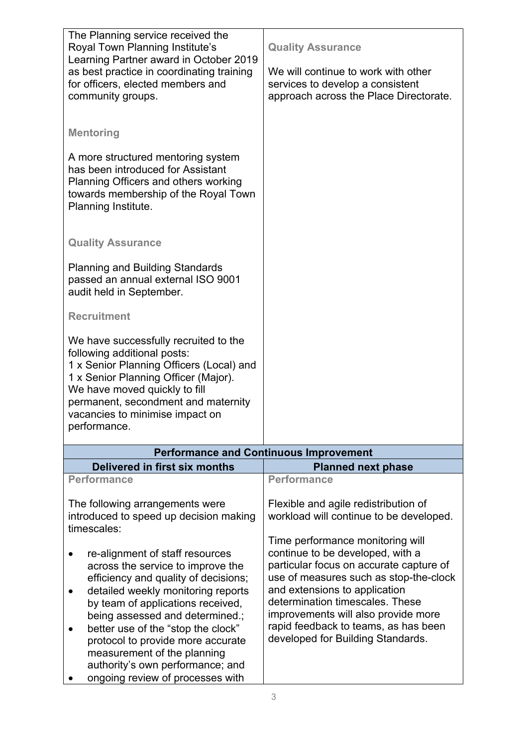| The Planning service received the<br>Royal Town Planning Institute's<br>Learning Partner award in October 2019<br>as best practice in coordinating training<br>for officers, elected members and<br>community groups.                                                                                                                                                                                        | <b>Quality Assurance</b><br>We will continue to work with other<br>services to develop a consistent<br>approach across the Place Directorate.                                                                                                                                                                                                     |
|--------------------------------------------------------------------------------------------------------------------------------------------------------------------------------------------------------------------------------------------------------------------------------------------------------------------------------------------------------------------------------------------------------------|---------------------------------------------------------------------------------------------------------------------------------------------------------------------------------------------------------------------------------------------------------------------------------------------------------------------------------------------------|
| <b>Mentoring</b><br>A more structured mentoring system<br>has been introduced for Assistant<br>Planning Officers and others working<br>towards membership of the Royal Town<br>Planning Institute.                                                                                                                                                                                                           |                                                                                                                                                                                                                                                                                                                                                   |
| <b>Quality Assurance</b><br><b>Planning and Building Standards</b><br>passed an annual external ISO 9001<br>audit held in September.                                                                                                                                                                                                                                                                         |                                                                                                                                                                                                                                                                                                                                                   |
| <b>Recruitment</b>                                                                                                                                                                                                                                                                                                                                                                                           |                                                                                                                                                                                                                                                                                                                                                   |
| We have successfully recruited to the<br>following additional posts:<br>1 x Senior Planning Officers (Local) and<br>1 x Senior Planning Officer (Major).<br>We have moved quickly to fill<br>permanent, secondment and maternity<br>vacancies to minimise impact on<br>performance.                                                                                                                          |                                                                                                                                                                                                                                                                                                                                                   |
|                                                                                                                                                                                                                                                                                                                                                                                                              | <b>Performance and Continuous Improvement</b>                                                                                                                                                                                                                                                                                                     |
| Delivered in first six months                                                                                                                                                                                                                                                                                                                                                                                | <b>Planned next phase</b>                                                                                                                                                                                                                                                                                                                         |
| <b>Performance</b>                                                                                                                                                                                                                                                                                                                                                                                           | <b>Performance</b>                                                                                                                                                                                                                                                                                                                                |
| The following arrangements were<br>introduced to speed up decision making<br>timescales:                                                                                                                                                                                                                                                                                                                     | Flexible and agile redistribution of<br>workload will continue to be developed.                                                                                                                                                                                                                                                                   |
| re-alignment of staff resources<br>across the service to improve the<br>efficiency and quality of decisions;<br>detailed weekly monitoring reports<br>by team of applications received,<br>being assessed and determined.;<br>better use of the "stop the clock"<br>protocol to provide more accurate<br>measurement of the planning<br>authority's own performance; and<br>ongoing review of processes with | Time performance monitoring will<br>continue to be developed, with a<br>particular focus on accurate capture of<br>use of measures such as stop-the-clock<br>and extensions to application<br>determination timescales. These<br>improvements will also provide more<br>rapid feedback to teams, as has been<br>developed for Building Standards. |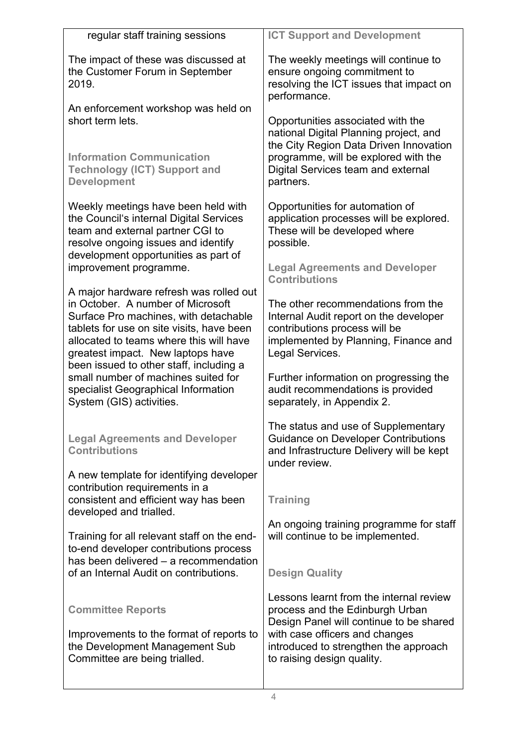| regular staff training sessions                                                                                                                                                                                                                                                               | <b>ICT Support and Development</b>                                                                                                                                       |
|-----------------------------------------------------------------------------------------------------------------------------------------------------------------------------------------------------------------------------------------------------------------------------------------------|--------------------------------------------------------------------------------------------------------------------------------------------------------------------------|
| The impact of these was discussed at<br>the Customer Forum in September<br>2019.                                                                                                                                                                                                              | The weekly meetings will continue to<br>ensure ongoing commitment to<br>resolving the ICT issues that impact on<br>performance.                                          |
| An enforcement workshop was held on<br>short term lets.                                                                                                                                                                                                                                       | Opportunities associated with the<br>national Digital Planning project, and<br>the City Region Data Driven Innovation                                                    |
| <b>Information Communication</b><br><b>Technology (ICT) Support and</b><br><b>Development</b>                                                                                                                                                                                                 | programme, will be explored with the<br>Digital Services team and external<br>partners.                                                                                  |
| Weekly meetings have been held with<br>the Council's internal Digital Services<br>team and external partner CGI to<br>resolve ongoing issues and identify                                                                                                                                     | Opportunities for automation of<br>application processes will be explored.<br>These will be developed where<br>possible.                                                 |
| development opportunities as part of<br>improvement programme.                                                                                                                                                                                                                                | <b>Legal Agreements and Developer</b><br><b>Contributions</b>                                                                                                            |
| A major hardware refresh was rolled out<br>in October. A number of Microsoft<br>Surface Pro machines, with detachable<br>tablets for use on site visits, have been<br>allocated to teams where this will have<br>greatest impact. New laptops have<br>been issued to other staff, including a | The other recommendations from the<br>Internal Audit report on the developer<br>contributions process will be<br>implemented by Planning, Finance and<br>Legal Services. |
| small number of machines suited for<br>specialist Geographical Information<br>System (GIS) activities.                                                                                                                                                                                        | Further information on progressing the<br>audit recommendations is provided<br>separately, in Appendix 2.                                                                |
| <b>Legal Agreements and Developer</b><br><b>Contributions</b>                                                                                                                                                                                                                                 | The status and use of Supplementary<br><b>Guidance on Developer Contributions</b><br>and Infrastructure Delivery will be kept<br>under review.                           |
| A new template for identifying developer                                                                                                                                                                                                                                                      |                                                                                                                                                                          |
| contribution requirements in a<br>consistent and efficient way has been<br>developed and trialled.                                                                                                                                                                                            | <b>Training</b>                                                                                                                                                          |
| Training for all relevant staff on the end-<br>to-end developer contributions process                                                                                                                                                                                                         | An ongoing training programme for staff<br>will continue to be implemented.                                                                                              |
| has been delivered - a recommendation<br>of an Internal Audit on contributions.                                                                                                                                                                                                               | <b>Design Quality</b>                                                                                                                                                    |
| <b>Committee Reports</b>                                                                                                                                                                                                                                                                      | Lessons learnt from the internal review<br>process and the Edinburgh Urban<br>Design Panel will continue to be shared                                                    |
| Improvements to the format of reports to<br>the Development Management Sub<br>Committee are being trialled.                                                                                                                                                                                   | with case officers and changes<br>introduced to strengthen the approach<br>to raising design quality.                                                                    |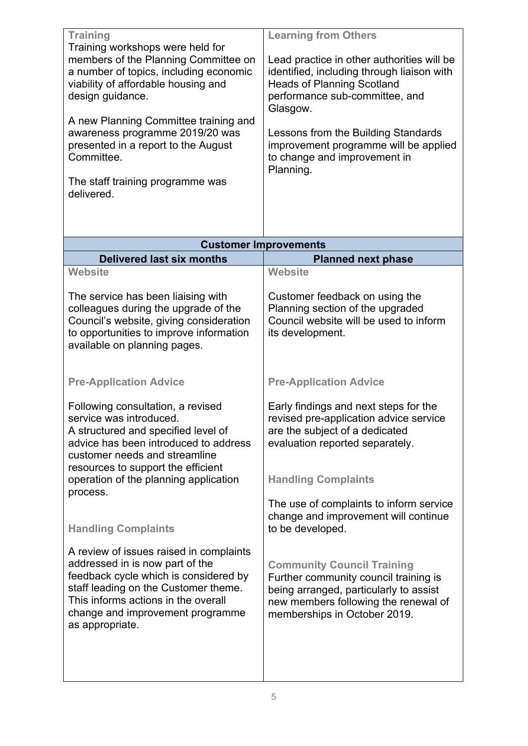| <b>Training</b><br>Training workshops were held for<br>members of the Planning Committee on<br>a number of topics, including economic<br>viability of affordable housing and<br>design guidance.                                                                        | <b>Learning from Others</b><br>Lead practice in other authorities will be<br>identified, including through liaison with<br><b>Heads of Planning Scotland</b><br>performance sub-committee, and                                |
|-------------------------------------------------------------------------------------------------------------------------------------------------------------------------------------------------------------------------------------------------------------------------|-------------------------------------------------------------------------------------------------------------------------------------------------------------------------------------------------------------------------------|
| A new Planning Committee training and<br>awareness programme 2019/20 was<br>presented in a report to the August<br>Committee.                                                                                                                                           | Glasgow.<br>Lessons from the Building Standards<br>improvement programme will be applied<br>to change and improvement in<br>Planning.                                                                                         |
| The staff training programme was<br>delivered.                                                                                                                                                                                                                          |                                                                                                                                                                                                                               |
|                                                                                                                                                                                                                                                                         | <b>Customer Improvements</b>                                                                                                                                                                                                  |
| <b>Delivered last six months</b>                                                                                                                                                                                                                                        | <b>Planned next phase</b>                                                                                                                                                                                                     |
| <b>Website</b><br>The service has been liaising with<br>colleagues during the upgrade of the<br>Council's website, giving consideration<br>to opportunities to improve information<br>available on planning pages.<br><b>Pre-Application Advice</b>                     | <b>Website</b><br>Customer feedback on using the<br>Planning section of the upgraded<br>Council website will be used to inform<br>its development.<br><b>Pre-Application Advice</b>                                           |
| Following consultation, a revised<br>service was introduced<br>A structured and specified level of<br>advice has been introduced to address<br>customer needs and streamline<br>resources to support the efficient<br>operation of the planning application<br>process. | Early findings and next steps for the<br>revised pre-application advice service<br>are the subject of a dedicated<br>evaluation reported separately.<br><b>Handling Complaints</b><br>The use of complaints to inform service |
| <b>Handling Complaints</b>                                                                                                                                                                                                                                              | change and improvement will continue<br>to be developed.                                                                                                                                                                      |
| A review of issues raised in complaints<br>addressed in is now part of the<br>feedback cycle which is considered by<br>staff leading on the Customer theme.<br>This informs actions in the overall<br>change and improvement programme<br>as appropriate.               | <b>Community Council Training</b><br>Further community council training is<br>being arranged, particularly to assist<br>new members following the renewal of<br>memberships in October 2019.                                  |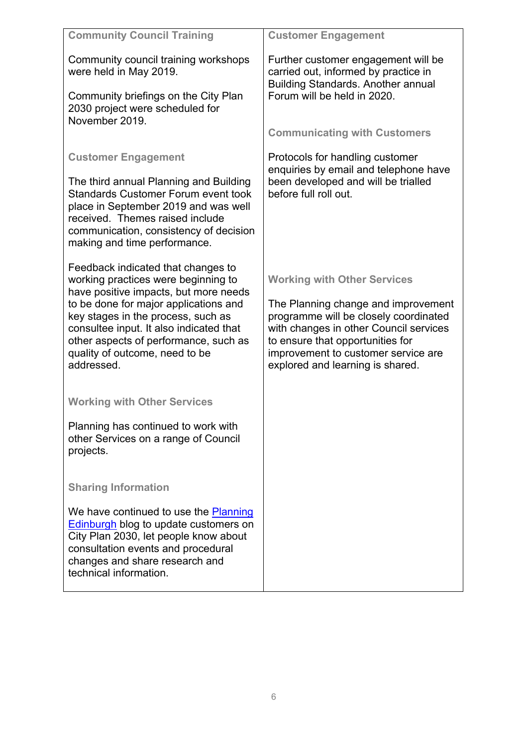| <b>Community Council Training</b>                                                                                                                                                                                                                        | <b>Customer Engagement</b>                                                                                                                                                                                                            |  |  |
|----------------------------------------------------------------------------------------------------------------------------------------------------------------------------------------------------------------------------------------------------------|---------------------------------------------------------------------------------------------------------------------------------------------------------------------------------------------------------------------------------------|--|--|
| Community council training workshops<br>were held in May 2019.                                                                                                                                                                                           | Further customer engagement will be<br>carried out, informed by practice in<br><b>Building Standards. Another annual</b>                                                                                                              |  |  |
| Community briefings on the City Plan<br>2030 project were scheduled for<br>November 2019.                                                                                                                                                                | Forum will be held in 2020.                                                                                                                                                                                                           |  |  |
|                                                                                                                                                                                                                                                          | <b>Communicating with Customers</b>                                                                                                                                                                                                   |  |  |
| <b>Customer Engagement</b>                                                                                                                                                                                                                               | Protocols for handling customer<br>enquiries by email and telephone have                                                                                                                                                              |  |  |
| The third annual Planning and Building<br><b>Standards Customer Forum event took</b><br>place in September 2019 and was well<br>received. Themes raised include<br>communication, consistency of decision<br>making and time performance.                | been developed and will be trialled<br>before full roll out.                                                                                                                                                                          |  |  |
| Feedback indicated that changes to<br>working practices were beginning to                                                                                                                                                                                | <b>Working with Other Services</b>                                                                                                                                                                                                    |  |  |
| have positive impacts, but more needs<br>to be done for major applications and<br>key stages in the process, such as<br>consultee input. It also indicated that<br>other aspects of performance, such as<br>quality of outcome, need to be<br>addressed. | The Planning change and improvement<br>programme will be closely coordinated<br>with changes in other Council services<br>to ensure that opportunities for<br>improvement to customer service are<br>explored and learning is shared. |  |  |
| <b>Working with Other Services</b>                                                                                                                                                                                                                       |                                                                                                                                                                                                                                       |  |  |
| Planning has continued to work with<br>other Services on a range of Council<br>projects.                                                                                                                                                                 |                                                                                                                                                                                                                                       |  |  |
| <b>Sharing Information</b>                                                                                                                                                                                                                               |                                                                                                                                                                                                                                       |  |  |
| We have continued to use the Planning<br><b>Edinburgh blog to update customers on</b><br>City Plan 2030, let people know about<br>consultation events and procedural<br>changes and share research and<br>technical information.                         |                                                                                                                                                                                                                                       |  |  |
|                                                                                                                                                                                                                                                          |                                                                                                                                                                                                                                       |  |  |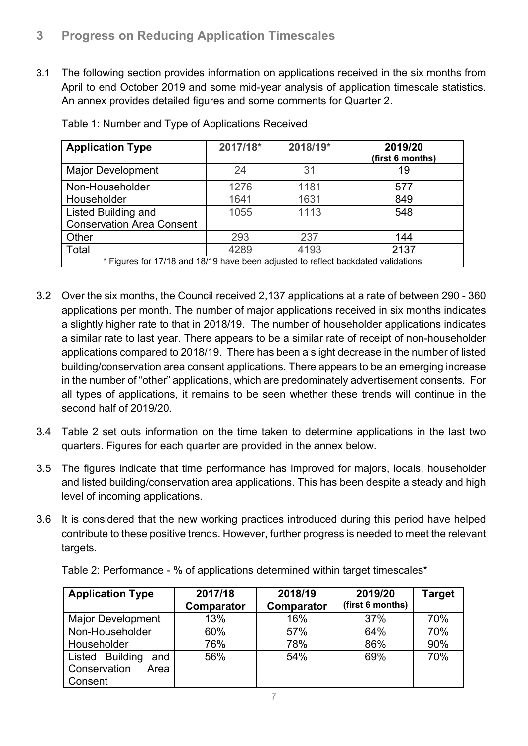### **3 Progress on Reducing Application Timescales**

3.1 The following section provides information on applications received in the six months from April to end October 2019 and some mid-year analysis of application timescale statistics. An annex provides detailed figures and some comments for Quarter 2.

| <b>Application Type</b>                                                           | 2017/18* | 2018/19* | 2019/20<br>(first 6 months) |  |  |
|-----------------------------------------------------------------------------------|----------|----------|-----------------------------|--|--|
| <b>Major Development</b>                                                          | 24       | 31       | 19                          |  |  |
| Non-Householder                                                                   | 1276     | 1181     | 577                         |  |  |
| Householder                                                                       | 1641     | 1631     | 849                         |  |  |
| <b>Listed Building and</b>                                                        | 1055     | 1113     | 548                         |  |  |
| <b>Conservation Area Consent</b>                                                  |          |          |                             |  |  |
| Other                                                                             | 293      | 237      | 144                         |  |  |
| Total                                                                             | 4289     | 4193     | 2137                        |  |  |
| * Figures for 17/18 and 18/19 have been adjusted to reflect backdated validations |          |          |                             |  |  |

Table 1: Number and Type of Applications Received

- 3.2 Over the six months, the Council received 2,137 applications at a rate of between 290 360 applications per month. The number of major applications received in six months indicates a slightly higher rate to that in 2018/19. The number of householder applications indicates a similar rate to last year. There appears to be a similar rate of receipt of non-householder applications compared to 2018/19. There has been a slight decrease in the number of listed building/conservation area consent applications. There appears to be an emerging increase in the number of "other" applications, which are predominately advertisement consents. For all types of applications, it remains to be seen whether these trends will continue in the second half of 2019/20.
- 3.4 Table 2 set outs information on the time taken to determine applications in the last two quarters. Figures for each quarter are provided in the annex below.
- 3.5 The figures indicate that time performance has improved for majors, locals, householder and listed building/conservation area applications. This has been despite a steady and high level of incoming applications.
- 3.6 It is considered that the new working practices introduced during this period have helped contribute to these positive trends. However, further progress is needed to meet the relevant targets.

Table 2: Performance - % of applications determined within target timescales\*

| <b>Application Type</b>                                   | 2017/18<br>Comparator | 2018/19<br>Comparator | 2019/20<br>(first 6 months) | <b>Target</b> |
|-----------------------------------------------------------|-----------------------|-----------------------|-----------------------------|---------------|
| <b>Major Development</b>                                  | 13%                   | 16%                   | 37%                         | 70%           |
| Non-Householder                                           | 60%                   | 57%                   | 64%                         | 70%           |
| Householder                                               | 76%                   | 78%                   | 86%                         | 90%           |
| Listed Building<br>and<br>Conservation<br>Area<br>Consent | 56%                   | 54%                   | 69%                         | 70%           |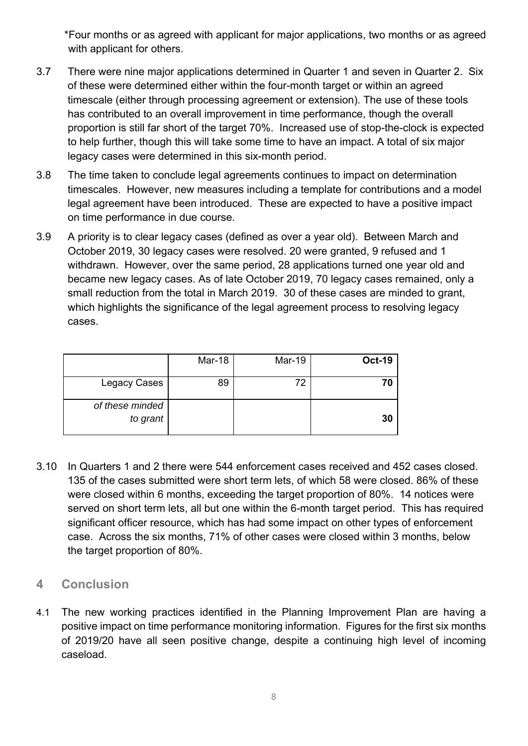\*Four months or as agreed with applicant for major applications, two months or as agreed with applicant for others.

- 3.7 There were nine major applications determined in Quarter 1 and seven in Quarter 2. Six of these were determined either within the four-month target or within an agreed timescale (either through processing agreement or extension). The use of these tools has contributed to an overall improvement in time performance, though the overall proportion is still far short of the target 70%. Increased use of stop-the-clock is expected to help further, though this will take some time to have an impact. A total of six major legacy cases were determined in this six-month period.
- 3.8 The time taken to conclude legal agreements continues to impact on determination timescales. However, new measures including a template for contributions and a model legal agreement have been introduced. These are expected to have a positive impact on time performance in due course.
- 3.9 A priority is to clear legacy cases (defined as over a year old). Between March and October 2019, 30 legacy cases were resolved. 20 were granted, 9 refused and 1 withdrawn. However, over the same period, 28 applications turned one year old and became new legacy cases. As of late October 2019, 70 legacy cases remained, only a small reduction from the total in March 2019. 30 of these cases are minded to grant, which highlights the significance of the legal agreement process to resolving legacy cases.

|                             | Mar-18 | <b>Mar-19</b> | <b>Oct-19</b> |
|-----------------------------|--------|---------------|---------------|
| Legacy Cases                | 89     | 72            | 70            |
| of these minded<br>to grant |        |               | 30            |

3.10 In Quarters 1 and 2 there were 544 enforcement cases received and 452 cases closed. 135 of the cases submitted were short term lets, of which 58 were closed. 86% of these were closed within 6 months, exceeding the target proportion of 80%. 14 notices were served on short term lets, all but one within the 6-month target period. This has required significant officer resource, which has had some impact on other types of enforcement case. Across the six months, 71% of other cases were closed within 3 months, below the target proportion of 80%.

#### **4 Conclusion**

4.1 The new working practices identified in the Planning Improvement Plan are having a positive impact on time performance monitoring information. Figures for the first six months of 2019/20 have all seen positive change, despite a continuing high level of incoming caseload.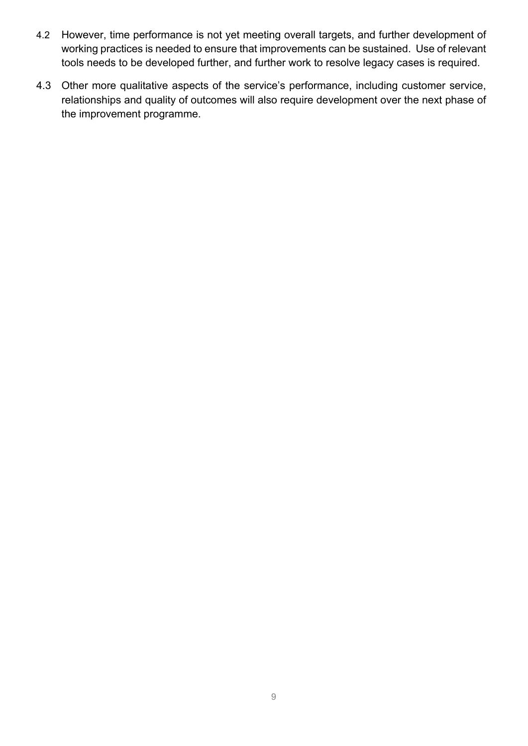- 4.2 However, time performance is not yet meeting overall targets, and further development of working practices is needed to ensure that improvements can be sustained. Use of relevant tools needs to be developed further, and further work to resolve legacy cases is required.
- 4.3 Other more qualitative aspects of the service's performance, including customer service, relationships and quality of outcomes will also require development over the next phase of the improvement programme.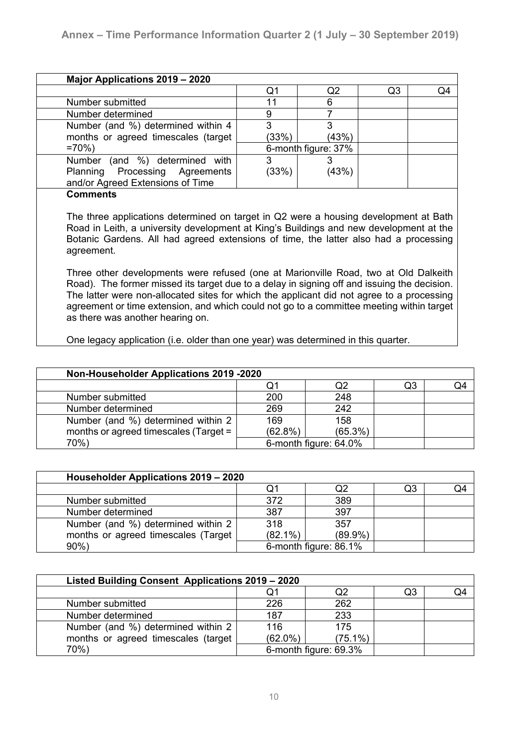|                                                                    | Q1    | Q <sub>2</sub>      | Q <sub>3</sub> | Q4 |
|--------------------------------------------------------------------|-------|---------------------|----------------|----|
| Number submitted                                                   | 11    | 6                   |                |    |
| Number determined                                                  | 9     |                     |                |    |
| Number (and %) determined within 4                                 | 3     | 3                   |                |    |
| months or agreed timescales (target                                | (33%) | (43%)               |                |    |
| $=70%$                                                             |       | 6-month figure: 37% |                |    |
| (and %) determined with<br>Number                                  | 3     |                     |                |    |
| Planning Processing Agreements<br>and/or Agreed Extensions of Time | (33%) | (43%)               |                |    |
| <b>Comments</b>                                                    |       |                     |                |    |

The three applications determined on target in Q2 were a housing development at Bath Road in Leith, a university development at King's Buildings and new development at the Botanic Gardens. All had agreed extensions of time, the latter also had a processing agreement.

Three other developments were refused (one at Marionville Road, two at Old Dalkeith Road). The former missed its target due to a delay in signing off and issuing the decision. The latter were non-allocated sites for which the applicant did not agree to a processing agreement or time extension, and which could not go to a committee meeting within target as there was another hearing on.

One legacy application (i.e. older than one year) was determined in this quarter.

| <b>Non-Householder Applications 2019 -2020</b> |            |                       |    |    |  |
|------------------------------------------------|------------|-----------------------|----|----|--|
|                                                | Q1         | Q2                    | Q3 | Q4 |  |
| Number submitted                               | 200        | 248                   |    |    |  |
| Number determined                              | 269        | 242                   |    |    |  |
| Number (and %) determined within 2             | 169        | 158                   |    |    |  |
| months or agreed timescales (Target =          | $(62.8\%)$ | $(65.3\%)$            |    |    |  |
| 70%)                                           |            | 6-month figure: 64.0% |    |    |  |

| Householder Applications 2019 - 2020 |            |                       |    |    |  |
|--------------------------------------|------------|-----------------------|----|----|--|
|                                      | Q1         | Q2                    | Q3 | Q4 |  |
| Number submitted                     | 372        | 389                   |    |    |  |
| Number determined                    | 387        | 397                   |    |    |  |
| Number (and %) determined within 2   | 318        | 357                   |    |    |  |
| months or agreed timescales (Target  | $(82.1\%)$ | $(89.9\%)$            |    |    |  |
| $90\%$ )                             |            | 6-month figure: 86.1% |    |    |  |

| Listed Building Consent Applications 2019 - 2020 |            |                       |    |    |
|--------------------------------------------------|------------|-----------------------|----|----|
|                                                  | Q1         | Q2                    | Q3 | Q4 |
| Number submitted                                 | 226        | 262                   |    |    |
| Number determined                                | 187        | 233                   |    |    |
| Number (and %) determined within 2               | 116        | 175                   |    |    |
| months or agreed timescales (target              | $(62.0\%)$ | $(75.1\%)$            |    |    |
| 70%)                                             |            | 6-month figure: 69.3% |    |    |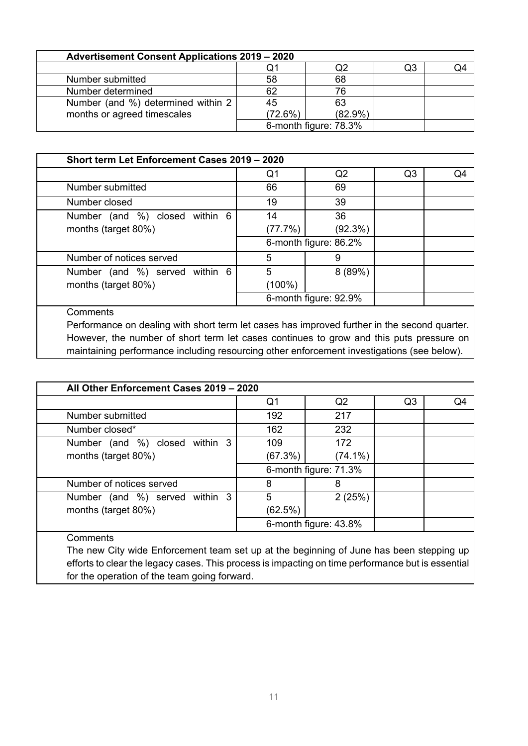| <b>Advertisement Consent Applications 2019 - 2020</b> |         |                       |    |  |
|-------------------------------------------------------|---------|-----------------------|----|--|
|                                                       | Q1      | Q2                    | Q3 |  |
| Number submitted                                      | 58      | 68                    |    |  |
| Number determined                                     | 62      | 76                    |    |  |
| Number (and %) determined within 2                    | 45      | 63                    |    |  |
| months or agreed timescales                           | (72.6%) | $(82.9\%)$            |    |  |
|                                                       |         | 6-month figure: 78.3% |    |  |

| Short term Let Enforcement Cases 2019 - 2020 |                       |                       |                |    |
|----------------------------------------------|-----------------------|-----------------------|----------------|----|
|                                              | Q1                    | Q <sub>2</sub>        | Q <sub>3</sub> | Q4 |
| Number submitted                             | 66                    | 69                    |                |    |
| Number closed                                | 19                    | 39                    |                |    |
| Number (and %) closed<br>within 6            | 14                    | 36                    |                |    |
| months (target 80%)                          | (77.7%)               | (92.3%)               |                |    |
|                                              | 6-month figure: 86.2% |                       |                |    |
| Number of notices served                     | 5                     | 9                     |                |    |
| Number (and %) served<br>within 6            | 5                     | 8(89%)                |                |    |
| months (target 80%)                          | (100%)                |                       |                |    |
|                                              |                       | 6-month figure: 92.9% |                |    |
| Comments                                     |                       |                       |                |    |

Performance on dealing with short term let cases has improved further in the second quarter. However, the number of short term let cases continues to grow and this puts pressure on maintaining performance including resourcing other enforcement investigations (see below).

| All Other Enforcement Cases 2019 - 2020                                                                                                                                                      |                       |                |                |    |
|----------------------------------------------------------------------------------------------------------------------------------------------------------------------------------------------|-----------------------|----------------|----------------|----|
|                                                                                                                                                                                              | Q1                    | Q <sub>2</sub> | Q <sub>3</sub> | Q4 |
| Number submitted                                                                                                                                                                             | 192                   | 217            |                |    |
| Number closed*                                                                                                                                                                               | 162                   | 232            |                |    |
| within 3<br>Number (and %) closed                                                                                                                                                            | 109                   | 172            |                |    |
| months (target 80%)                                                                                                                                                                          | (67.3%)               | $(74.1\%)$     |                |    |
|                                                                                                                                                                                              | 6-month figure: 71.3% |                |                |    |
| Number of notices served                                                                                                                                                                     | 8                     | 8              |                |    |
| Number (and %) served within 3                                                                                                                                                               | 5                     | 2(25%)         |                |    |
| months (target 80%)                                                                                                                                                                          | (62.5%)               |                |                |    |
|                                                                                                                                                                                              | 6-month figure: 43.8% |                |                |    |
| Comments                                                                                                                                                                                     |                       |                |                |    |
| The new City wide Enforcement team set up at the beginning of June has been stepping up<br>efforts to clear the legacy cases. This process is impacting on time performance but is essential |                       |                |                |    |

for the operation of the team going forward.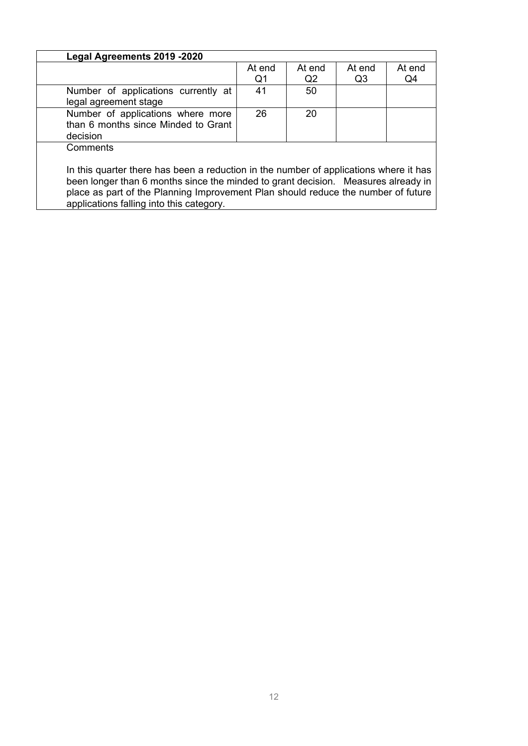| Legal Agreements 2019 -2020                                                           |                |        |                |        |
|---------------------------------------------------------------------------------------|----------------|--------|----------------|--------|
|                                                                                       | At end         | At end | At end         | At end |
|                                                                                       | Q <sub>1</sub> | Q2     | Q <sub>3</sub> | Q4     |
| Number of applications currently at                                                   | 41             | 50     |                |        |
| legal agreement stage                                                                 |                |        |                |        |
| Number of applications where more                                                     | 26             | 20     |                |        |
| than 6 months since Minded to Grant                                                   |                |        |                |        |
| decision                                                                              |                |        |                |        |
| Comments                                                                              |                |        |                |        |
|                                                                                       |                |        |                |        |
| In this quarter there has been a reduction in the number of applications where it has |                |        |                |        |
| been longer than 6 months since the minded to grant decision. Measures already in     |                |        |                |        |
| place as part of the Planning Improvement Plan should reduce the number of future     |                |        |                |        |
| applications falling into this category.                                              |                |        |                |        |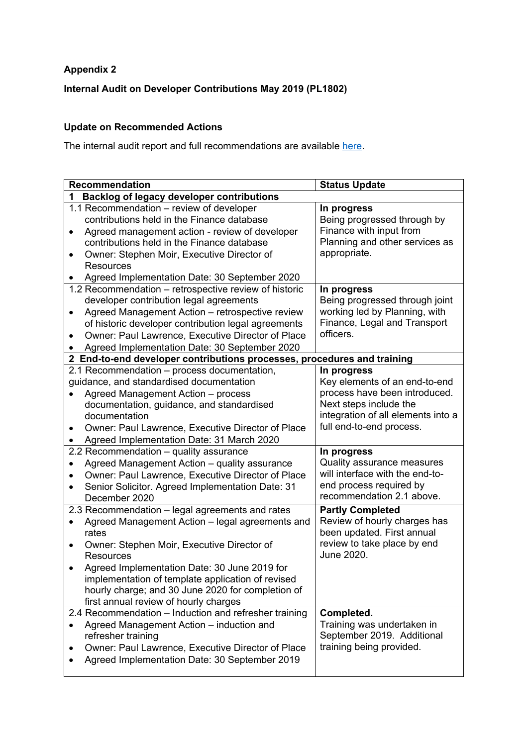#### **Appendix 2**

#### **Internal Audit on Developer Contributions May 2019 (PL1802)**

#### **Update on Recommended Actions**

The internal audit report and full recommendations are available here.

| <b>Recommendation</b>                                                       | <b>Status Update</b>                                       |
|-----------------------------------------------------------------------------|------------------------------------------------------------|
| <b>Backlog of legacy developer contributions</b><br>1                       |                                                            |
| 1.1 Recommendation - review of developer                                    | In progress                                                |
| contributions held in the Finance database                                  | Being progressed through by                                |
| Agreed management action - review of developer<br>$\bullet$                 | Finance with input from                                    |
| contributions held in the Finance database                                  | Planning and other services as                             |
| Owner: Stephen Moir, Executive Director of                                  | appropriate.                                               |
| Resources                                                                   |                                                            |
| Agreed Implementation Date: 30 September 2020                               |                                                            |
| 1.2 Recommendation - retrospective review of historic                       | In progress                                                |
| developer contribution legal agreements                                     | Being progressed through joint                             |
| Agreed Management Action - retrospective review<br>$\bullet$                | working led by Planning, with                              |
| of historic developer contribution legal agreements                         | Finance, Legal and Transport                               |
| Owner: Paul Lawrence, Executive Director of Place                           | officers.                                                  |
| Agreed Implementation Date: 30 September 2020                               |                                                            |
| 2 End-to-end developer contributions processes, procedures and training     |                                                            |
| 2.1 Recommendation - process documentation,                                 | In progress                                                |
| guidance, and standardised documentation                                    | Key elements of an end-to-end                              |
| Agreed Management Action - process                                          | process have been introduced.                              |
| documentation, guidance, and standardised                                   | Next steps include the                                     |
| documentation                                                               | integration of all elements into a                         |
| Owner: Paul Lawrence, Executive Director of Place<br>$\bullet$              | full end-to-end process.                                   |
| Agreed Implementation Date: 31 March 2020                                   |                                                            |
| 2.2 Recommendation - quality assurance                                      | In progress                                                |
| Agreed Management Action - quality assurance                                | Quality assurance measures                                 |
| Owner: Paul Lawrence, Executive Director of Place                           | will interface with the end-to-                            |
| Senior Solicitor. Agreed Implementation Date: 31<br>$\bullet$               | end process required by<br>recommendation 2.1 above.       |
| December 2020                                                               |                                                            |
| 2.3 Recommendation - legal agreements and rates                             | <b>Partly Completed</b>                                    |
| Agreed Management Action - legal agreements and                             | Review of hourly charges has<br>been updated. First annual |
| rates                                                                       | review to take place by end                                |
| Owner: Stephen Moir, Executive Director of<br>$\bullet$<br><b>Resources</b> | June 2020.                                                 |
| Agreed Implementation Date: 30 June 2019 for                                |                                                            |
| implementation of template application of revised                           |                                                            |
| hourly charge; and 30 June 2020 for completion of                           |                                                            |
| first annual review of hourly charges                                       |                                                            |
| 2.4 Recommendation - Induction and refresher training                       | Completed.                                                 |
| Agreed Management Action - induction and<br>$\bullet$                       | Training was undertaken in                                 |
| refresher training                                                          | September 2019. Additional                                 |
| Owner: Paul Lawrence, Executive Director of Place                           | training being provided.                                   |
| Agreed Implementation Date: 30 September 2019                               |                                                            |
|                                                                             |                                                            |